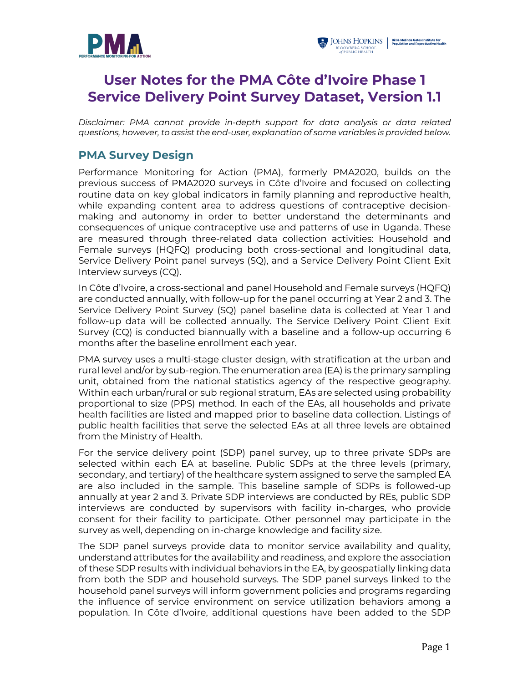



# **User Notes for the PMA Côte d'Ivoire Phase 1 Service Delivery Point Survey Dataset, Version 1.1**

*Disclaimer: PMA cannot provide in-depth support for data analysis or data related questions, however, to assist the end-user, explanation of some variables is provided below.*

#### **PMA Survey Design**

Performance Monitoring for Action (PMA), formerly PMA2020, builds on the previous success of PMA2020 surveys in Côte d'Ivoire and focused on collecting routine data on key global indicators in family planning and reproductive health, while expanding content area to address questions of contraceptive decisionmaking and autonomy in order to better understand the determinants and consequences of unique contraceptive use and patterns of use in Uganda. These are measured through three-related data collection activities: Household and Female surveys (HQFQ) producing both cross-sectional and longitudinal data, Service Delivery Point panel surveys (SQ), and a Service Delivery Point Client Exit Interview surveys (CQ).

In Côte d'Ivoire, a cross-sectional and panel Household and Female surveys (HQFQ) are conducted annually, with follow-up for the panel occurring at Year 2 and 3. The Service Delivery Point Survey (SQ) panel baseline data is collected at Year 1 and follow-up data will be collected annually. The Service Delivery Point Client Exit Survey (CQ) is conducted biannually with a baseline and a follow-up occurring 6 months after the baseline enrollment each year.

PMA survey uses a multi-stage cluster design, with stratification at the urban and rural level and/or by sub-region. The enumeration area (EA) is the primary sampling unit, obtained from the national statistics agency of the respective geography. Within each urban/rural or sub regional stratum, EAs are selected using probability proportional to size (PPS) method. In each of the EAs, all households and private health facilities are listed and mapped prior to baseline data collection. Listings of public health facilities that serve the selected EAs at all three levels are obtained from the Ministry of Health.

For the service delivery point (SDP) panel survey, up to three private SDPs are selected within each EA at baseline. Public SDPs at the three levels (primary, secondary, and tertiary) of the healthcare system assigned to serve the sampled EA are also included in the sample. This baseline sample of SDPs is followed-up annually at year 2 and 3. Private SDP interviews are conducted by REs, public SDP interviews are conducted by supervisors with facility in-charges, who provide consent for their facility to participate. Other personnel may participate in the survey as well, depending on in-charge knowledge and facility size.

The SDP panel surveys provide data to monitor service availability and quality, understand attributes for the availability and readiness, and explore the association of these SDP results with individual behaviors in the EA, by geospatially linking data from both the SDP and household surveys. The SDP panel surveys linked to the household panel surveys will inform government policies and programs regarding the influence of service environment on service utilization behaviors among a population. In Côte d'Ivoire, additional questions have been added to the SDP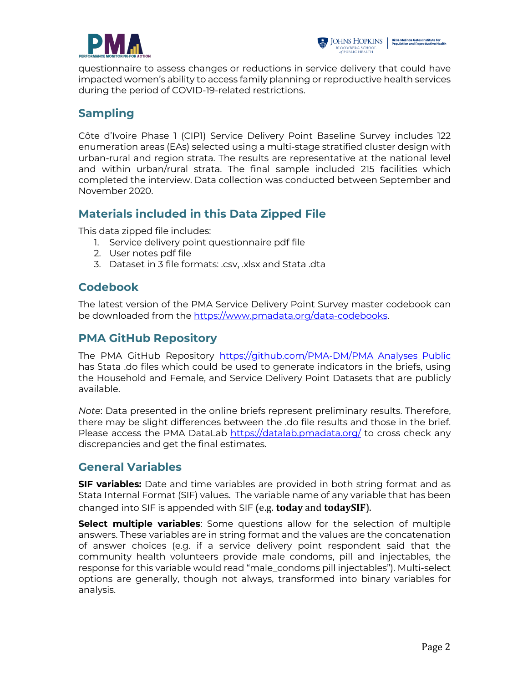

questionnaire to assess changes or reductions in service delivery that could have impacted women's ability to access family planning or reproductive health services during the period of COVID-19-related restrictions.

# **Sampling**

Côte d'Ivoire Phase 1 (CIP1) Service Delivery Point Baseline Survey includes 122 enumeration areas (EAs) selected using a multi-stage stratified cluster design with urban-rural and region strata. The results are representative at the national level and within urban/rural strata. The final sample included 215 facilities which completed the interview. Data collection was conducted between September and November 2020.

## **Materials included in this Data Zipped File**

This data zipped file includes:

- 1. Service delivery point questionnaire pdf file
- 2. User notes pdf file
- 3. Dataset in 3 file formats: .csv, .xlsx and Stata .dta

### **Codebook**

The latest version of the PMA Service Delivery Point Survey master codebook can be downloaded from the https://www.pmadata.org/data-codebooks.

# **PMA GitHub Repository**

The PMA GitHub Repository https://github.com/PMA-DM/PMA\_Analyses\_Public has Stata .do files which could be used to generate indicators in the briefs, using the Household and Female, and Service Delivery Point Datasets that are publicly available.

*Note*: Data presented in the online briefs represent preliminary results. Therefore, there may be slight differences between the .do file results and those in the brief. Please access the PMA DataLab https://datalab.pmadata.org/ to cross check any discrepancies and get the final estimates.

# **General Variables**

**SIF variables:** Date and time variables are provided in both string format and as Stata Internal Format (SIF) values. The variable name of any variable that has been changed into SIF is appended with SIF (e.g. **today** and **todaySIF**).

**Select multiple variables**: Some questions allow for the selection of multiple answers. These variables are in string format and the values are the concatenation of answer choices (e.g. if a service delivery point respondent said that the community health volunteers provide male condoms, pill and injectables, the response for this variable would read "male\_condoms pill injectables"). Multi-select options are generally, though not always, transformed into binary variables for analysis.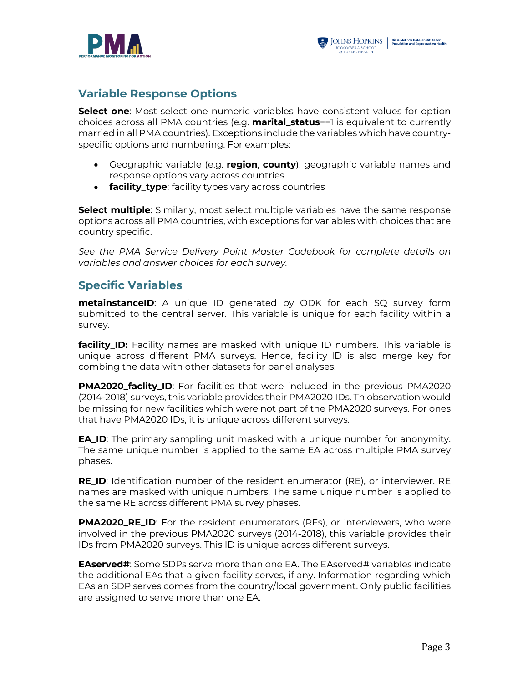



### **Variable Response Options**

**Select one**: Most select one numeric variables have consistent values for option choices across all PMA countries (e.g. **marital\_status**==1 is equivalent to currently married in all PMA countries). Exceptions include the variables which have countryspecific options and numbering. For examples:

- Geographic variable (e.g. **region**, **county**): geographic variable names and response options vary across countries
- **facility\_type**: facility types vary across countries

**Select multiple**: Similarly, most select multiple variables have the same response options across all PMA countries, with exceptions for variables with choices that are country specific.

*See the PMA Service Delivery Point Master Codebook for complete details on variables and answer choices for each survey.*

#### **Specific Variables**

**metainstanceID**: A unique ID generated by ODK for each SQ survey form submitted to the central server. This variable is unique for each facility within a survey.

**facility\_ID:** Facility names are masked with unique ID numbers. This variable is unique across different PMA surveys. Hence, facility\_ID is also merge key for combing the data with other datasets for panel analyses.

**PMA2020\_faclity\_ID**: For facilities that were included in the previous PMA2020 (2014-2018) surveys, this variable provides their PMA2020 IDs. Th observation would be missing for new facilities which were not part of the PMA2020 surveys. For ones that have PMA2020 IDs, it is unique across different surveys.

**EA\_ID**: The primary sampling unit masked with a unique number for anonymity. The same unique number is applied to the same EA across multiple PMA survey phases.

**RE\_ID**: Identification number of the resident enumerator (RE), or interviewer. RE names are masked with unique numbers. The same unique number is applied to the same RE across different PMA survey phases.

**PMA2020\_RE\_ID**: For the resident enumerators (REs), or interviewers, who were involved in the previous PMA2020 surveys (2014-2018), this variable provides their IDs from PMA2020 surveys. This ID is unique across different surveys.

**EAserved#:** Some SDPs serve more than one EA. The EAserved# variables indicate the additional EAs that a given facility serves, if any. Information regarding which EAs an SDP serves comes from the country/local government. Only public facilities are assigned to serve more than one EA.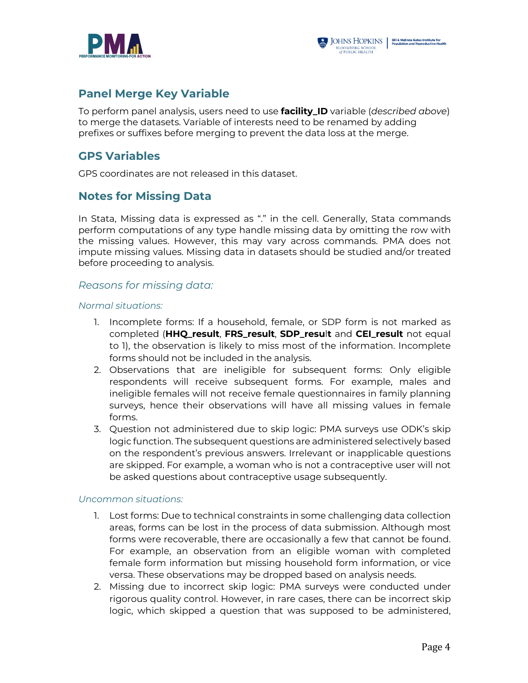



### **Panel Merge Key Variable**

To perform panel analysis, users need to use **facility\_ID** variable (*described above*) to merge the datasets. Variable of interests need to be renamed by adding prefixes or suffixes before merging to prevent the data loss at the merge.

#### **GPS Variables**

GPS coordinates are not released in this dataset.

### **Notes for Missing Data**

In Stata, Missing data is expressed as "." in the cell. Generally, Stata commands perform computations of any type handle missing data by omitting the row with the missing values. However, this may vary across commands. PMA does not impute missing values. Missing data in datasets should be studied and/or treated before proceeding to analysis.

#### *Reasons for missing data:*

#### *Normal situations:*

- 1. Incomplete forms: If a household, female, or SDP form is not marked as completed (**HHQ\_result**, **FRS\_result**, **SDP\_resu**l**t** and **CEI\_result** not equal to 1), the observation is likely to miss most of the information. Incomplete forms should not be included in the analysis.
- 2. Observations that are ineligible for subsequent forms: Only eligible respondents will receive subsequent forms. For example, males and ineligible females will not receive female questionnaires in family planning surveys, hence their observations will have all missing values in female forms.
- 3. Question not administered due to skip logic: PMA surveys use ODK's skip logic function. The subsequent questions are administered selectively based on the respondent's previous answers. Irrelevant or inapplicable questions are skipped. For example, a woman who is not a contraceptive user will not be asked questions about contraceptive usage subsequently.

#### *Uncommon situations:*

- 1. Lost forms: Due to technical constraints in some challenging data collection areas, forms can be lost in the process of data submission. Although most forms were recoverable, there are occasionally a few that cannot be found. For example, an observation from an eligible woman with completed female form information but missing household form information, or vice versa. These observations may be dropped based on analysis needs.
- 2. Missing due to incorrect skip logic: PMA surveys were conducted under rigorous quality control. However, in rare cases, there can be incorrect skip logic, which skipped a question that was supposed to be administered,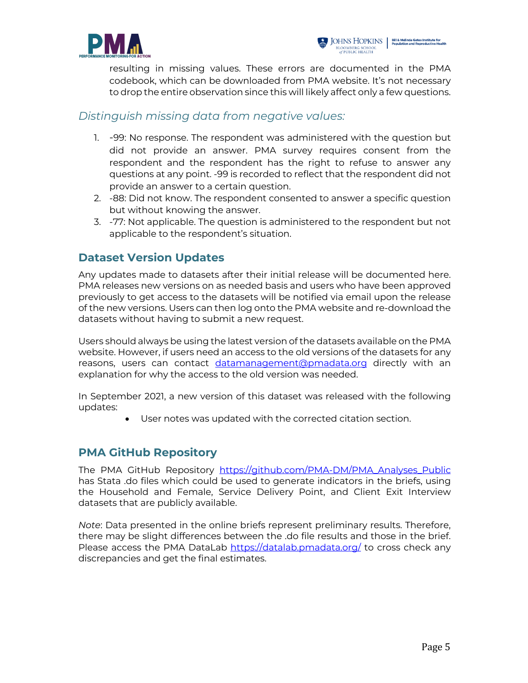



resulting in missing values. These errors are documented in the PMA codebook, which can be downloaded from PMA website. It's not necessary to drop the entire observation since this will likely affect only a few questions.

#### *Distinguish missing data from negative values:*

- 1. -99: No response. The respondent was administered with the question but did not provide an answer. PMA survey requires consent from the respondent and the respondent has the right to refuse to answer any questions at any point. -99 is recorded to reflect that the respondent did not provide an answer to a certain question.
- 2. -88: Did not know. The respondent consented to answer a specific question but without knowing the answer.
- 3. -77: Not applicable. The question is administered to the respondent but not applicable to the respondent's situation.

### **Dataset Version Updates**

Any updates made to datasets after their initial release will be documented here. PMA releases new versions on as needed basis and users who have been approved previously to get access to the datasets will be notified via email upon the release of the new versions. Users can then log onto the PMA website and re-download the datasets without having to submit a new request.

Users should always be using the latest version of the datasets available on the PMA website. However, if users need an access to the old versions of the datasets for any reasons, users can contact datamanagement@pmadata.org directly with an explanation for why the access to the old version was needed.

In September 2021, a new version of this dataset was released with the following updates:

User notes was updated with the corrected citation section.

### **PMA GitHub Repository**

The PMA GitHub Repository https://github.com/PMA-DM/PMA\_Analyses\_Public has Stata .do files which could be used to generate indicators in the briefs, using the Household and Female, Service Delivery Point, and Client Exit Interview datasets that are publicly available.

*Note*: Data presented in the online briefs represent preliminary results. Therefore, there may be slight differences between the .do file results and those in the brief. Please access the PMA DataLab https://datalab.pmadata.org/ to cross check any discrepancies and get the final estimates.